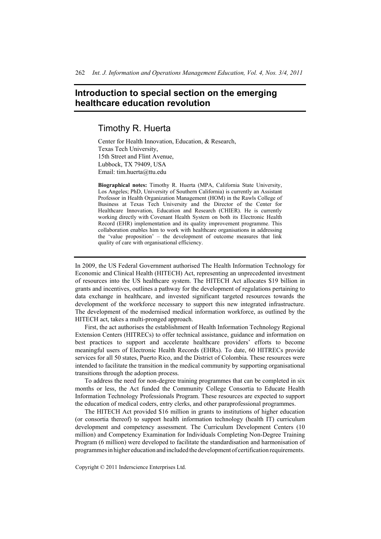## **Introduction to special section on the emerging healthcare education revolution**

## Timothy R. Huerta

Center for Health Innovation, Education, & Research, Texas Tech University, 15th Street and Flint Avenue, Lubbock, TX 79409, USA Email: tim.huerta@ttu.edu

**Biographical notes:** Timothy R. Huerta (MPA, California State University, Los Angeles; PhD, University of Southern California) is currently an Assistant Professor in Health Organization Management (HOM) in the Rawls College of Business at Texas Tech University and the Director of the Center for Healthcare Innovation, Education and Research (CHIER). He is currently working directly with Covenant Health System on both its Electronic Health Record (EHR) implementation and its quality improvement programme. This collaboration enables him to work with healthcare organisations in addressing the 'value proposition' – the development of outcome measures that link quality of care with organisational efficiency.

In 2009, the US Federal Government authorised The Health Information Technology for Economic and Clinical Health (HITECH) Act, representing an unprecedented investment of resources into the US healthcare system. The HITECH Act allocates \$19 billion in grants and incentives, outlines a pathway for the development of regulations pertaining to data exchange in healthcare, and invested significant targeted resources towards the development of the workforce necessary to support this new integrated infrastructure. The development of the modernised medical information workforce, as outlined by the HITECH act, takes a multi-pronged approach.

First, the act authorises the establishment of Health Information Technology Regional Extension Centers (HITRECs) to offer technical assistance, guidance and information on best practices to support and accelerate healthcare providers' efforts to become meaningful users of Electronic Health Records (EHRs). To date, 60 HITRECs provide services for all 50 states, Puerto Rico, and the District of Colombia. These resources were intended to facilitate the transition in the medical community by supporting organisational transitions through the adoption process.

To address the need for non-degree training programmes that can be completed in six months or less, the Act funded the Community College Consortia to Educate Health Information Technology Professionals Program. These resources are expected to support the education of medical coders, entry clerks, and other paraprofessional programmes.

The HITECH Act provided \$16 million in grants to institutions of higher education (or consortia thereof) to support health information technology (health IT) curriculum development and competency assessment. The Curriculum Development Centers (10 million) and Competency Examination for Individuals Completing Non-Degree Training Program (6 million) were developed to facilitate the standardisation and harmonisation of programmesin higher education and included thedevelopmentof certification requirements.

Copyright © 2011 Inderscience Enterprises Ltd.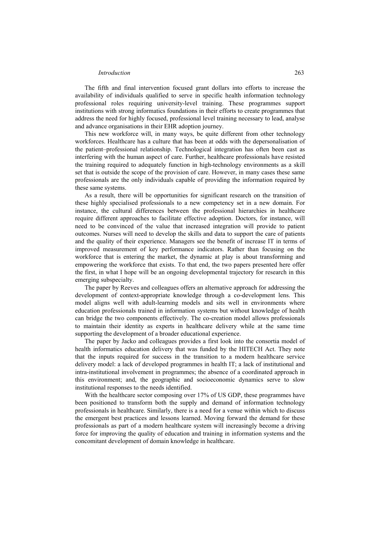## *Introduction* 263

The fifth and final intervention focused grant dollars into efforts to increase the availability of individuals qualified to serve in specific health information technology professional roles requiring university-level training. These programmes support institutions with strong informatics foundations in their efforts to create programmes that address the need for highly focused, professional level training necessary to lead, analyse and advance organisations in their EHR adoption journey.

This new workforce will, in many ways, be quite different from other technology workforces. Healthcare has a culture that has been at odds with the depersonalisation of the patient–professional relationship. Technological integration has often been cast as interfering with the human aspect of care. Further, healthcare professionals have resisted the training required to adequately function in high-technology environments as a skill set that is outside the scope of the provision of care. However, in many cases these same professionals are the only individuals capable of providing the information required by these same systems.

As a result, there will be opportunities for significant research on the transition of these highly specialised professionals to a new competency set in a new domain. For instance, the cultural differences between the professional hierarchies in healthcare require different approaches to facilitate effective adoption. Doctors, for instance, will need to be convinced of the value that increased integration will provide to patient outcomes. Nurses will need to develop the skills and data to support the care of patients and the quality of their experience. Managers see the benefit of increase IT in terms of improved measurement of key performance indicators. Rather than focusing on the workforce that is entering the market, the dynamic at play is about transforming and empowering the workforce that exists. To that end, the two papers presented here offer the first, in what I hope will be an ongoing developmental trajectory for research in this emerging subspecialty.

The paper by Reeves and colleagues offers an alternative approach for addressing the development of context-appropriate knowledge through a co-development lens. This model aligns well with adult-learning models and sits well in environments where education professionals trained in information systems but without knowledge of health can bridge the two components effectively. The co-creation model allows professionals to maintain their identity as experts in healthcare delivery while at the same time supporting the development of a broader educational experience.

The paper by Jacko and colleagues provides a first look into the consortia model of health informatics education delivery that was funded by the HITECH Act. They note that the inputs required for success in the transition to a modern healthcare service delivery model: a lack of developed programmes in health IT; a lack of institutional and intra-institutional involvement in programmes; the absence of a coordinated approach in this environment; and, the geographic and socioeconomic dynamics serve to slow institutional responses to the needs identified.

With the healthcare sector composing over 17% of US GDP, these programmes have been positioned to transform both the supply and demand of information technology professionals in healthcare. Similarly, there is a need for a venue within which to discuss the emergent best practices and lessons learned. Moving forward the demand for these professionals as part of a modern healthcare system will increasingly become a driving force for improving the quality of education and training in information systems and the concomitant development of domain knowledge in healthcare.